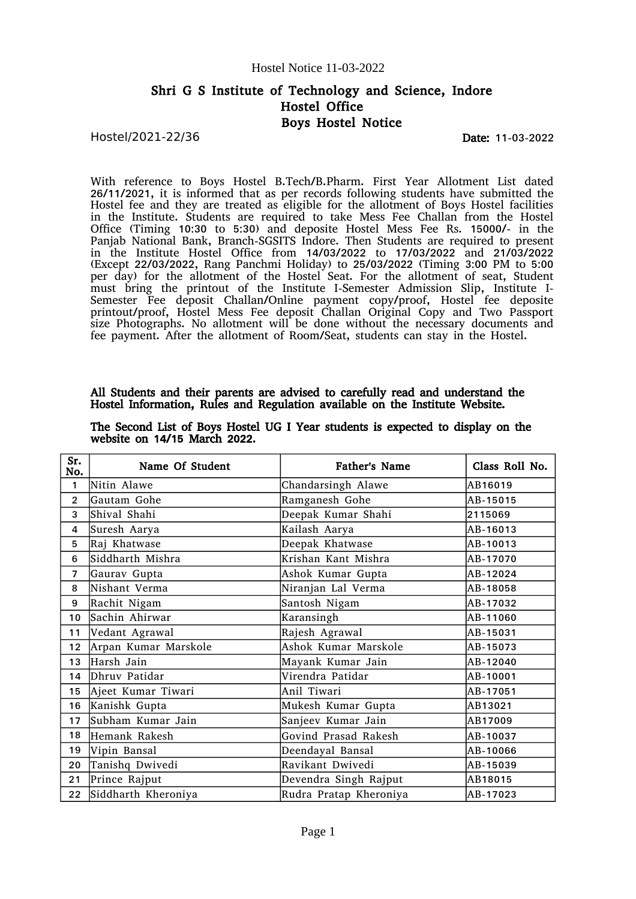## Shri G S Institute of Technology and Science, Indore Hostel Office Boys Hostel Notice

Hostel/2021-22/36

Date: 11-03-2022

With reference to Boys Hostel B.Tech/B.Pharm. First Year Allotment List dated 26/11/2021, it is informed that as per records following students have submitted the Hostel fee and they are treated as eligible for the allotment of Boys Hostel facilities in the Institute. Students are required to take Mess Fee Challan from the Hostel Office (Timing 10:30 to 5:30) and deposite Hostel Mess Fee Rs. 15000/- in the Panjab National Bank, Branch-SGSITS Indore. Then Students are required to present in the Institute Hostel Office from 14/03/2022 to 17/03/2022 and 21/03/2022 (Except 22/03/2022, Rang Panchmi Holiday) to 25/03/2022 (Timing 3:00 PM to 5:00 per day) for the allotment of the Hostel Seat. For the allotment of seat, Student must bring the printout of the Institute I-Semester Admission Slip, Institute I-Semester Fee deposit Challan/Online payment copy/proof, Hostel fee deposite printout/proof, Hostel Mess Fee deposit Challan Original Copy and Two Passport size Photographs. No allotment will be done without the necessary documents and fee payment. After the allotment of Room/Seat, students can stay in the Hostel.

### All Students and their parents are advised to carefully read and understand the Hostel Information, Rules and Regulation available on the Institute Website.

| Sr.<br>No.      | Name Of Student      | <b>Father's Name</b>   | Class Roll No. |
|-----------------|----------------------|------------------------|----------------|
| 1               | Nitin Alawe          | Chandarsingh Alawe     | AB16019        |
| $\overline{2}$  | Gautam Gohe          | Ramganesh Gohe         | AB-15015       |
| 3               | Shival Shahi         | Deepak Kumar Shahi     | 2115069        |
| 4               | Suresh Aarya         | Kailash Aarya          | AB-16013       |
| 5               | Raj Khatwase         | Deepak Khatwase        | AB-10013       |
| 6               | Siddharth Mishra     | Krishan Kant Mishra    | AB-17070       |
| $\overline{7}$  | Gaurav Gupta         | Ashok Kumar Gupta      | AB-12024       |
| 8               | Nishant Verma        | Niranjan Lal Verma     | AB-18058       |
| 9               | Rachit Nigam         | Santosh Nigam          | AB-17032       |
| 10              | Sachin Ahirwar       | Karansingh             | AB-11060       |
| 11              | Vedant Agrawal       | Rajesh Agrawal         | AB-15031       |
| 12 <sup>2</sup> | Arpan Kumar Marskole | Ashok Kumar Marskole   | AB-15073       |
| 13              | Harsh Jain           | Mayank Kumar Jain      | AB-12040       |
| 14              | Dhruv Patidar        | Virendra Patidar       | AB-10001       |
| 15 <sub>1</sub> | Ajeet Kumar Tiwari   | Anil Tiwari            | AB-17051       |
| 16              | Kanishk Gupta        | Mukesh Kumar Gupta     | AB13021        |
| 17              | Subham Kumar Jain    | Sanjeev Kumar Jain     | AB17009        |
| 18              | Hemank Rakesh        | Govind Prasad Rakesh   | AB-10037       |
| 19              | Vipin Bansal         | Deendayal Bansal       | AB-10066       |
| 20              | Tanishq Dwivedi      | Ravikant Dwivedi       | AB-15039       |
| 21              | Prince Rajput        | Devendra Singh Rajput  | AB18015        |
| $22 \,$         | Siddharth Kheroniya  | Rudra Pratap Kheroniya | AB-17023       |

The Second List of Boys Hostel UG I Year students is expected to display on the website on 14/15 March 2022.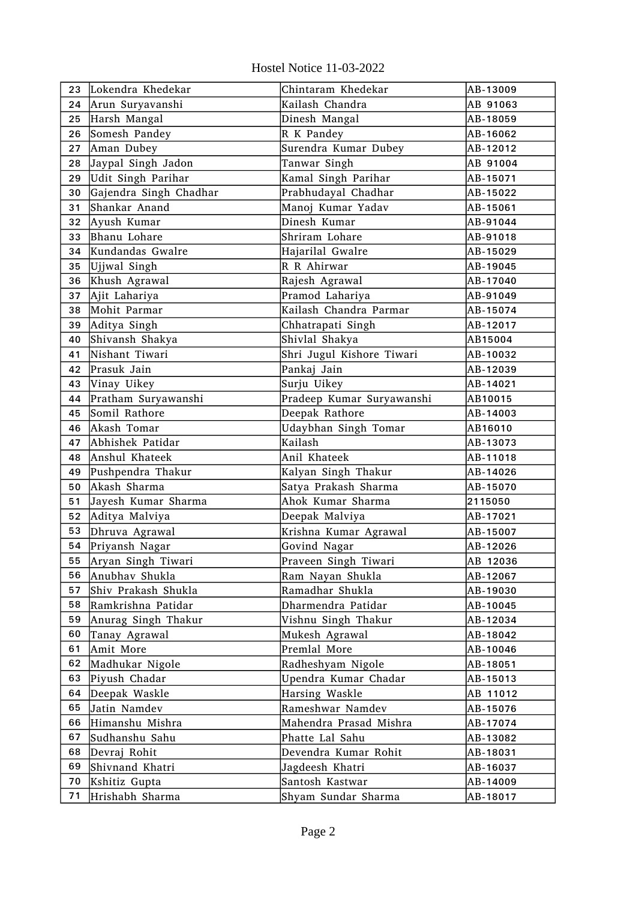Hostel Notice 11-03-2022

| 23 | Lokendra Khedekar      | Chintaram Khedekar        | AB-13009 |
|----|------------------------|---------------------------|----------|
| 24 | Arun Suryavanshi       | Kailash Chandra           | AB 91063 |
| 25 | Harsh Mangal           | Dinesh Mangal             | AB-18059 |
| 26 | Somesh Pandey          | R K Pandey                | AB-16062 |
| 27 | Aman Dubey             | Surendra Kumar Dubey      | AB-12012 |
| 28 | Jaypal Singh Jadon     | Tanwar Singh              | AB 91004 |
| 29 | Udit Singh Parihar     | Kamal Singh Parihar       | AB-15071 |
| 30 | Gajendra Singh Chadhar | Prabhudayal Chadhar       | AB-15022 |
| 31 | Shankar Anand          | Manoj Kumar Yadav         | AB-15061 |
| 32 | Ayush Kumar            | Dinesh Kumar              | AB-91044 |
| 33 | Bhanu Lohare           | Shriram Lohare            | AB-91018 |
| 34 | Kundandas Gwalre       | Hajarilal Gwalre          | AB-15029 |
| 35 | Ujjwal Singh           | R R Ahirwar               | AB-19045 |
| 36 | Khush Agrawal          | Rajesh Agrawal            | AB-17040 |
| 37 | Ajit Lahariya          | Pramod Lahariya           | AB-91049 |
| 38 | Mohit Parmar           | Kailash Chandra Parmar    | AB-15074 |
| 39 | Aditya Singh           | Chhatrapati Singh         | AB-12017 |
| 40 | Shivansh Shakya        | Shivlal Shakya            | AB15004  |
| 41 | Nishant Tiwari         | Shri Jugul Kishore Tiwari | AB-10032 |
| 42 | Prasuk Jain            | Pankaj Jain               | AB-12039 |
| 43 | Vinay Uikey            | Surju Uikey               | AB-14021 |
| 44 | Pratham Suryawanshi    | Pradeep Kumar Suryawanshi | AB10015  |
| 45 | Somil Rathore          | Deepak Rathore            | AB-14003 |
| 46 | Akash Tomar            | Udaybhan Singh Tomar      | AB16010  |
| 47 | Abhishek Patidar       | Kailash                   | AB-13073 |
| 48 | Anshul Khateek         | Anil Khateek              | AB-11018 |
| 49 | Pushpendra Thakur      | Kalyan Singh Thakur       | AB-14026 |
| 50 | Akash Sharma           | Satya Prakash Sharma      | AB-15070 |
| 51 | Jayesh Kumar Sharma    | Ahok Kumar Sharma         | 2115050  |
| 52 | Aditya Malviya         | Deepak Malviya            | AB-17021 |
| 53 | Dhruva Agrawal         | Krishna Kumar Agrawal     | AB-15007 |
| 54 | Priyansh Nagar         | Govind Nagar              | AB-12026 |
| 55 | Aryan Singh Tiwari     | Praveen Singh Tiwari      | AB 12036 |
| 56 | Anubhav Shukla         | Ram Nayan Shukla          | AB-12067 |
| 57 | Shiv Prakash Shukla    | Ramadhar Shukla           | AB-19030 |
| 58 | Ramkrishna Patidar     | Dharmendra Patidar        | AB-10045 |
| 59 | Anurag Singh Thakur    | Vishnu Singh Thakur       | AB-12034 |
| 60 | Tanay Agrawal          | Mukesh Agrawal            | AB-18042 |
| 61 | Amit More              | Premlal More              | AB-10046 |
| 62 | Madhukar Nigole        | Radheshyam Nigole         | AB-18051 |
| 63 | Piyush Chadar          | Upendra Kumar Chadar      | AB-15013 |
| 64 | Deepak Waskle          | Harsing Waskle            | AB 11012 |
| 65 | Jatin Namdev           | Rameshwar Namdev          | AB-15076 |
| 66 | Himanshu Mishra        | Mahendra Prasad Mishra    | AB-17074 |
| 67 | Sudhanshu Sahu         | Phatte Lal Sahu           | AB-13082 |
| 68 | Devraj Rohit           | Devendra Kumar Rohit      | AB-18031 |
| 69 | Shivnand Khatri        | Jagdeesh Khatri           | AB-16037 |
| 70 | Kshitiz Gupta          | Santosh Kastwar           | AB-14009 |
| 71 | Hrishabh Sharma        | Shyam Sundar Sharma       | AB-18017 |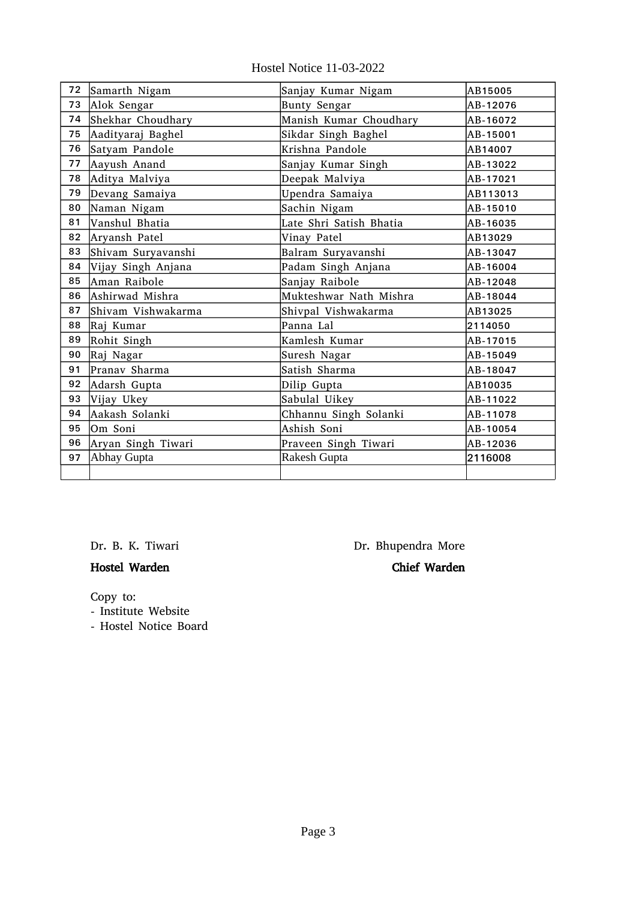|  |  | Hostel Notice 11-03-2022 |
|--|--|--------------------------|
|--|--|--------------------------|

| 72 | Samarth Nigam      | Sanjay Kumar Nigam       | AB15005  |
|----|--------------------|--------------------------|----------|
| 73 | Alok Sengar        | AB-12076<br>Bunty Sengar |          |
| 74 | Shekhar Choudhary  | Manish Kumar Choudhary   |          |
| 75 | Aadityaraj Baghel  | Sikdar Singh Baghel      | AB-15001 |
| 76 | Satyam Pandole     | Krishna Pandole          | AB14007  |
| 77 | Aayush Anand       | Sanjay Kumar Singh       | AB-13022 |
| 78 | Aditya Malviya     | Deepak Malviya           | AB-17021 |
| 79 | Devang Samaiya     | Upendra Samaiya          | AB113013 |
| 80 | Naman Nigam        | Sachin Nigam             | AB-15010 |
| 81 | Vanshul Bhatia     | Late Shri Satish Bhatia  | AB-16035 |
| 82 | Aryansh Patel      | Vinay Patel              | AB13029  |
| 83 | Shivam Suryavanshi | Balram Suryavanshi       | AB-13047 |
| 84 | Vijay Singh Anjana | Padam Singh Anjana       | AB-16004 |
| 85 | Aman Raibole       | Sanjay Raibole           | AB-12048 |
| 86 | Ashirwad Mishra    | Mukteshwar Nath Mishra   | AB-18044 |
| 87 | Shivam Vishwakarma | Shivpal Vishwakarma      | AB13025  |
| 88 | Raj Kumar          | Panna Lal                | 2114050  |
| 89 | Rohit Singh        | Kamlesh Kumar            | AB-17015 |
| 90 | Raj Nagar          | Suresh Nagar             | AB-15049 |
| 91 | Pranav Sharma      | Satish Sharma            | AB-18047 |
| 92 | Adarsh Gupta       | Dilip Gupta              | AB10035  |
| 93 | Vijay Ukey         | Sabulal Uikey            | AB-11022 |
| 94 | Aakash Solanki     | Chhannu Singh Solanki    | AB-11078 |
| 95 | Om Soni            | Ashish Soni              | AB-10054 |
| 96 | Aryan Singh Tiwari | Praveen Singh Tiwari     | AB-12036 |
| 97 | Abhay Gupta        | Rakesh Gupta             | 2116008  |
|    |                    |                          |          |

# Hostel Warden Chief Warden

Dr. B. K. Tiwari **Dr. Bhupendra More** 

Copy to:

- Institute Website

- Hostel Notice Board